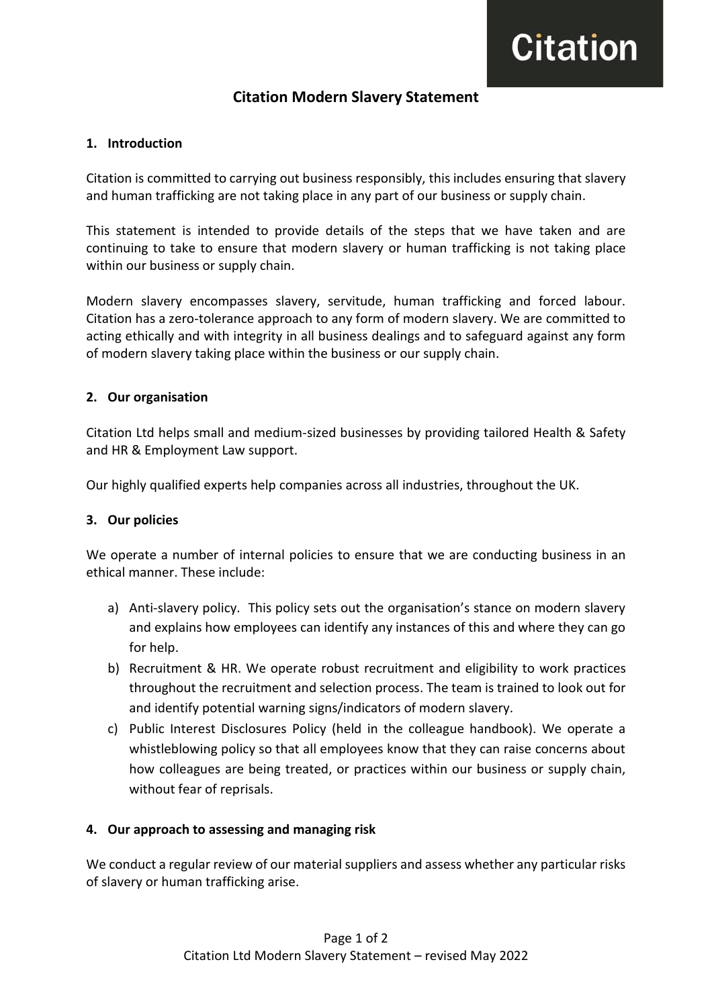# Citation

# **Citation Modern Slavery Statement**

#### **1. Introduction**

Citation is committed to carrying out business responsibly, this includes ensuring that slavery and human trafficking are not taking place in any part of our business or supply chain.

This statement is intended to provide details of the steps that we have taken and are continuing to take to ensure that modern slavery or human trafficking is not taking place within our business or supply chain.

Modern slavery encompasses slavery, servitude, human trafficking and forced labour. Citation has a zero-tolerance approach to any form of modern slavery. We are committed to acting ethically and with integrity in all business dealings and to safeguard against any form of modern slavery taking place within the business or our supply chain.

### **2. Our organisation**

Citation Ltd helps small and medium-sized businesses by providing tailored Health & Safety and HR & Employment Law support.

Our highly qualified experts help companies across all industries, throughout the UK.

#### **3. Our policies**

We operate a number of internal policies to ensure that we are conducting business in an ethical manner. These include:

- a) Anti-slavery policy. This policy sets out the organisation's stance on modern slavery and explains how employees can identify any instances of this and where they can go for help.
- b) Recruitment & HR. We operate robust recruitment and eligibility to work practices throughout the recruitment and selection process. The team is trained to look out for and identify potential warning signs/indicators of modern slavery.
- c) Public Interest Disclosures Policy (held in the colleague handbook). We operate a whistleblowing policy so that all employees know that they can raise concerns about how colleagues are being treated, or practices within our business or supply chain, without fear of reprisals.

## **4. Our approach to assessing and managing risk**

We conduct a regular review of our material suppliers and assess whether any particular risks of slavery or human trafficking arise.